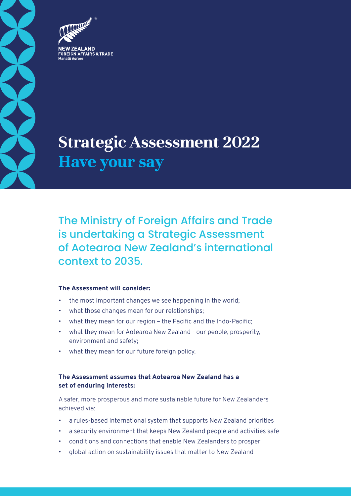



Aanatii Aorere

# **Strategic Assessment 2022 Have your say**

The Ministry of Foreign Affairs and Trade is undertaking a Strategic Assessment of Aotearoa New Zealand's international context to 2035.

### **The Assessment will consider:**

- the most important changes we see happening in the world;
- what those changes mean for our relationships;
- what they mean for our region the Pacific and the Indo-Pacific;
- what they mean for Aotearoa New Zealand our people, prosperity, environment and safety;
- what they mean for our future foreign policy.

## **The Assessment assumes that Aotearoa New Zealand has a set of enduring interests:**

A safer, more prosperous and more sustainable future for New Zealanders achieved via:

- a rules-based international system that supports New Zealand priorities
- a security environment that keeps New Zealand people and activities safe
- conditions and connections that enable New Zealanders to prosper
- global action on sustainability issues that matter to New Zealand